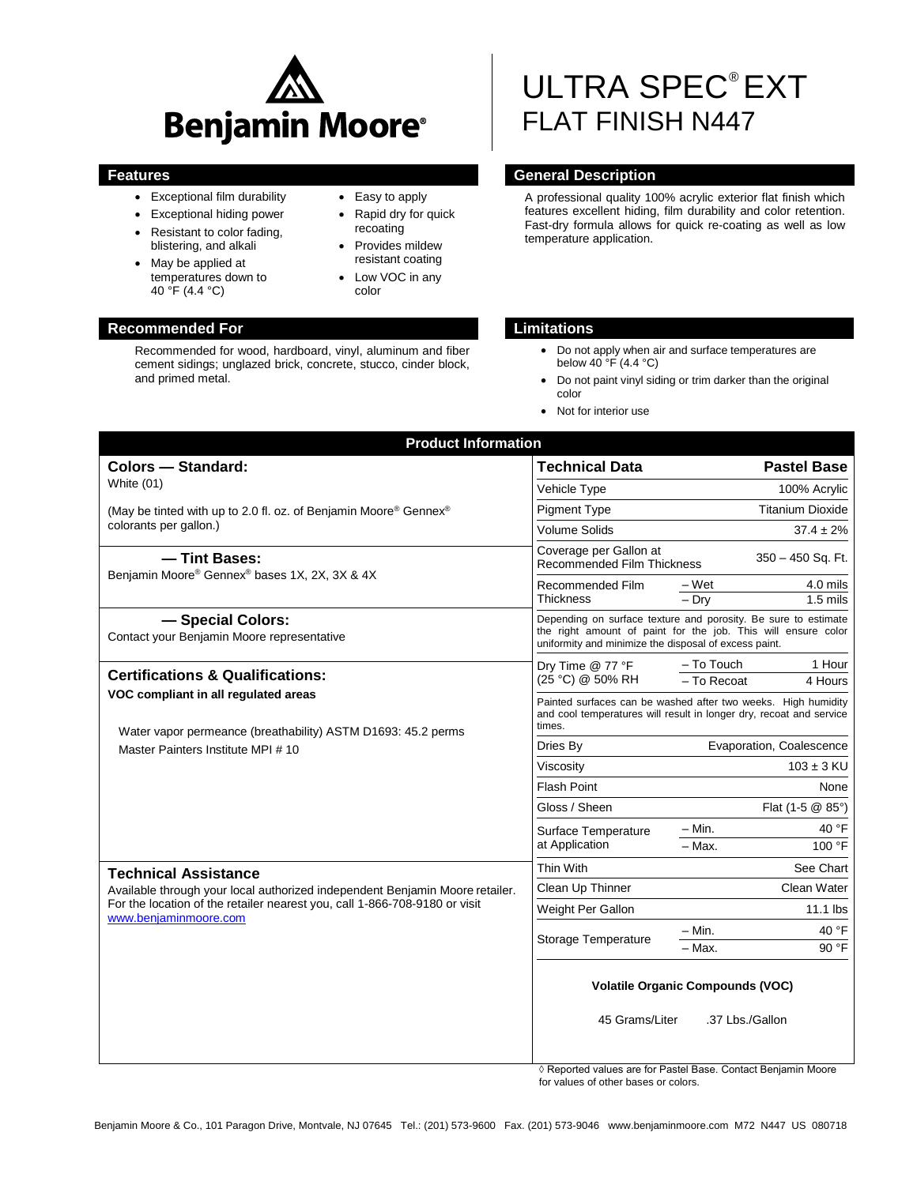

- Exceptional film durability
- Exceptional hiding power
- Resistant to color fading, blistering, and alkali
- May be applied at temperatures down to 40 °F (4.4 °C)

# **Recommended For Limitations**

Recommended for wood, hardboard, vinyl, aluminum and fiber cement sidings; unglazed brick, concrete, stucco, cinder block, and primed metal.

# • Easy to apply

- Rapid dry for quick recoating
- Provides mildew resistant coating
- Low VOC in any color

# ULTRA SPEC® EXT FLAT FINISH N447

# **Features General Description**

A professional quality 100% acrylic exterior flat finish which features excellent hiding, film durability and color retention. Fast-dry formula allows for quick re-coating as well as low temperature application.

- Do not apply when air and surface temperatures are below 40 °F (4.4 °C)
- Do not paint vinyl siding or trim darker than the original color
- Not for interior use

| <b>Product Information</b>                                                                                                                                                          |                                                                                                                                                                                          |  |
|-------------------------------------------------------------------------------------------------------------------------------------------------------------------------------------|------------------------------------------------------------------------------------------------------------------------------------------------------------------------------------------|--|
| <b>Colors - Standard:</b>                                                                                                                                                           | <b>Technical Data</b><br><b>Pastel Base</b>                                                                                                                                              |  |
| White (01)                                                                                                                                                                          | Vehicle Type<br>100% Acrylic                                                                                                                                                             |  |
| (May be tinted with up to 2.0 fl. oz. of Benjamin Moore® Gennex®                                                                                                                    | <b>Titanium Dioxide</b><br><b>Pigment Type</b>                                                                                                                                           |  |
| colorants per gallon.)                                                                                                                                                              | <b>Volume Solids</b><br>$37.4 \pm 2\%$                                                                                                                                                   |  |
| - Tint Bases:<br>Benjamin Moore® Gennex® bases 1X, 2X, 3X & 4X                                                                                                                      | Coverage per Gallon at<br>350 - 450 Sq. Ft.<br>Recommended Film Thickness                                                                                                                |  |
|                                                                                                                                                                                     | 4.0 mils<br>Recommended Film<br>– Wet<br>$-$ Drv<br>$1.5$ mils<br>Thickness                                                                                                              |  |
| - Special Colors:<br>Contact your Benjamin Moore representative                                                                                                                     | Depending on surface texture and porosity. Be sure to estimate<br>the right amount of paint for the job. This will ensure color<br>uniformity and minimize the disposal of excess paint. |  |
| <b>Certifications &amp; Qualifications:</b><br>VOC compliant in all regulated areas<br>Water vapor permeance (breathability) ASTM D1693: 45.2 perms                                 | - To Touch<br>1 Hour<br>Dry Time @ 77 °F<br>(25 °C) @ 50% RH<br>- To Recoat<br>4 Hours                                                                                                   |  |
|                                                                                                                                                                                     | Painted surfaces can be washed after two weeks. High humidity<br>and cool temperatures will result in longer dry, recoat and service<br>times.                                           |  |
| Master Painters Institute MPI #10                                                                                                                                                   | Evaporation, Coalescence<br>Dries By                                                                                                                                                     |  |
|                                                                                                                                                                                     | $103 \pm 3$ KU<br>Viscosity                                                                                                                                                              |  |
|                                                                                                                                                                                     | <b>Flash Point</b><br>None                                                                                                                                                               |  |
|                                                                                                                                                                                     | Gloss / Sheen<br>Flat $(1-5 \text{ } \textcircled{2} 85^{\circ})$                                                                                                                        |  |
|                                                                                                                                                                                     | - Min.<br>40 °F<br>Surface Temperature<br>at Application<br>100 °F<br>- Max.                                                                                                             |  |
| <b>Technical Assistance</b>                                                                                                                                                         | Thin With<br>See Chart                                                                                                                                                                   |  |
| Available through your local authorized independent Benjamin Moore retailer.<br>For the location of the retailer nearest you, call 1-866-708-9180 or visit<br>www.beniaminmoore.com | Clean Water<br>Clean Up Thinner                                                                                                                                                          |  |
|                                                                                                                                                                                     | $11.1$ lbs<br>Weight Per Gallon                                                                                                                                                          |  |
|                                                                                                                                                                                     | – Min.<br>40 °F<br>Storage Temperature<br>90 °F<br>- Max.                                                                                                                                |  |
|                                                                                                                                                                                     | <b>Volatile Organic Compounds (VOC)</b>                                                                                                                                                  |  |
|                                                                                                                                                                                     | 45 Grams/Liter<br>.37 Lbs./Gallon                                                                                                                                                        |  |

◊ Reported values are for Pastel Base. Contact Benjamin Moore for values of other bases or colors.